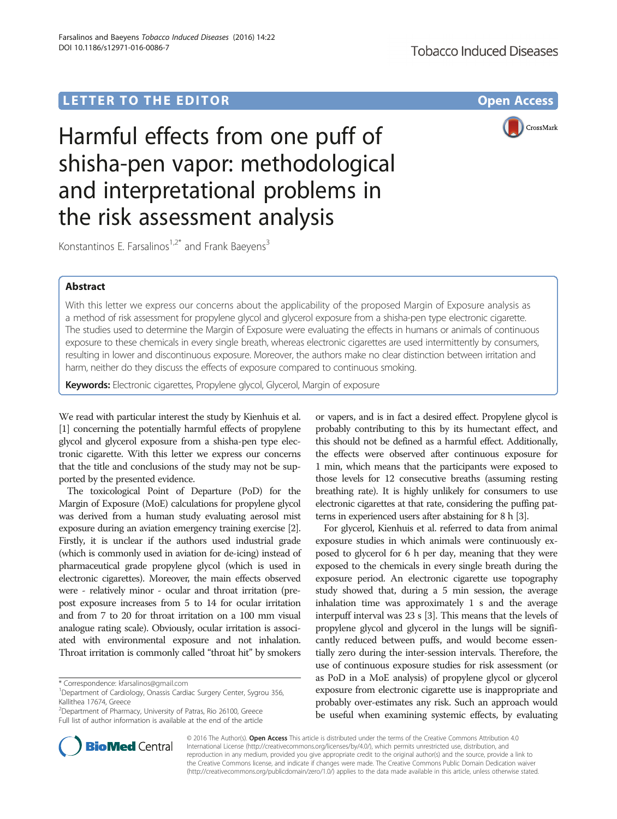# LETTER TO THE EDITOR **CONSIDERATION**



Harmful effects from one puff of shisha-pen vapor: methodological and interpretational problems in the risk assessment analysis

Konstantinos E. Farsalinos<sup>1,2\*</sup> and Frank Baeyens<sup>3</sup>

# Abstract

With this letter we express our concerns about the applicability of the proposed Margin of Exposure analysis as a method of risk assessment for propylene glycol and glycerol exposure from a shisha-pen type electronic cigarette. The studies used to determine the Margin of Exposure were evaluating the effects in humans or animals of continuous exposure to these chemicals in every single breath, whereas electronic cigarettes are used intermittently by consumers, resulting in lower and discontinuous exposure. Moreover, the authors make no clear distinction between irritation and harm, neither do they discuss the effects of exposure compared to continuous smoking.

Keywords: Electronic cigarettes, Propylene glycol, Glycerol, Margin of exposure

We read with particular interest the study by Kienhuis et al. [[1](#page-1-0)] concerning the potentially harmful effects of propylene glycol and glycerol exposure from a shisha-pen type electronic cigarette. With this letter we express our concerns that the title and conclusions of the study may not be supported by the presented evidence.

The toxicological Point of Departure (PoD) for the Margin of Exposure (MoE) calculations for propylene glycol was derived from a human study evaluating aerosol mist exposure during an aviation emergency training exercise [\[2](#page-1-0)]. Firstly, it is unclear if the authors used industrial grade (which is commonly used in aviation for de-icing) instead of pharmaceutical grade propylene glycol (which is used in electronic cigarettes). Moreover, the main effects observed were - relatively minor - ocular and throat irritation (prepost exposure increases from 5 to 14 for ocular irritation and from 7 to 20 for throat irritation on a 100 mm visual analogue rating scale). Obviously, ocular irritation is associated with environmental exposure and not inhalation. Throat irritation is commonly called "throat hit" by smokers

or vapers, and is in fact a desired effect. Propylene glycol is probably contributing to this by its humectant effect, and this should not be defined as a harmful effect. Additionally, the effects were observed after continuous exposure for 1 min, which means that the participants were exposed to those levels for 12 consecutive breaths (assuming resting breathing rate). It is highly unlikely for consumers to use electronic cigarettes at that rate, considering the puffing patterns in experienced users after abstaining for 8 h [\[3\]](#page-1-0).

For glycerol, Kienhuis et al. referred to data from animal exposure studies in which animals were continuously exposed to glycerol for 6 h per day, meaning that they were exposed to the chemicals in every single breath during the exposure period. An electronic cigarette use topography study showed that, during a 5 min session, the average inhalation time was approximately 1 s and the average interpuff interval was 23 s [[3](#page-1-0)]. This means that the levels of propylene glycol and glycerol in the lungs will be significantly reduced between puffs, and would become essentially zero during the inter-session intervals. Therefore, the use of continuous exposure studies for risk assessment (or as PoD in a MoE analysis) of propylene glycol or glycerol exposure from electronic cigarette use is inappropriate and probably over-estimates any risk. Such an approach would be useful when examining systemic effects, by evaluating



© 2016 The Author(s). Open Access This article is distributed under the terms of the Creative Commons Attribution 4.0 International License [\(http://creativecommons.org/licenses/by/4.0/](http://creativecommons.org/licenses/by/4.0/)), which permits unrestricted use, distribution, and reproduction in any medium, provided you give appropriate credit to the original author(s) and the source, provide a link to the Creative Commons license, and indicate if changes were made. The Creative Commons Public Domain Dedication waiver [\(http://creativecommons.org/publicdomain/zero/1.0/](http://creativecommons.org/publicdomain/zero/1.0/)) applies to the data made available in this article, unless otherwise stated.

<sup>\*</sup> Correspondence: [kfarsalinos@gmail.com](mailto:kfarsalinos@gmail.com) <sup>1</sup>

<sup>&</sup>lt;sup>1</sup>Department of Cardiology, Onassis Cardiac Surgery Center, Sygrou 356, Kallithea 17674, Greece

<sup>&</sup>lt;sup>2</sup>Department of Pharmacy, University of Patras, Rio 26100, Greece Full list of author information is available at the end of the article